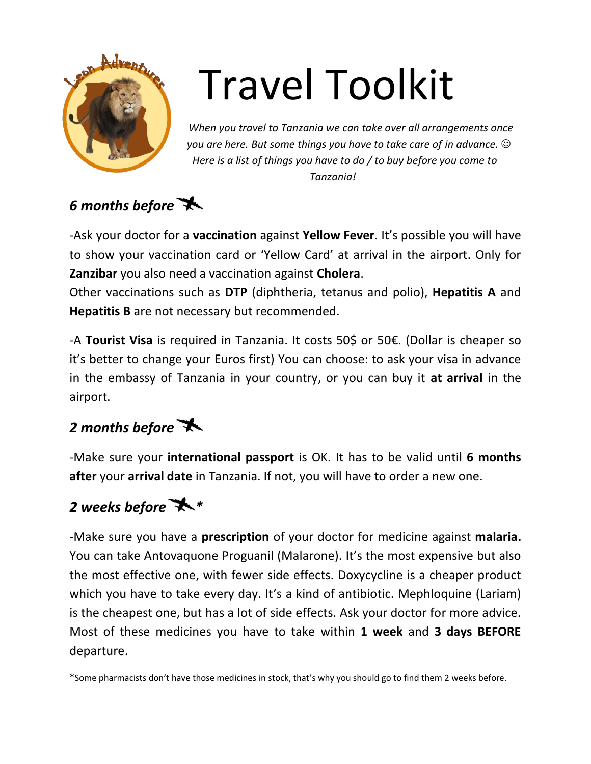

# Travel Toolkit

*When you travel to Tanzania we can take over all arrangements once you are here. But some things you have to take care of in advance. Here is a list of things you have to do / to buy before you come to Tanzania!*



-Ask your doctor for a **vaccination** against **Yellow Fever**. It's possible you will have to show your vaccination card or 'Yellow Card' at arrival in the airport. Only for **Zanzibar** you also need a vaccination against **Cholera**.

Other vaccinations such as **DTP** (diphtheria, tetanus and polio), **Hepatitis A** and **Hepatitis B** are not necessary but recommended.

-A **Tourist Visa** is required in Tanzania. It costs 50\$ or 50€. (Dollar is cheaper so it's better to change your Euros first) You can choose: to ask your visa in advance in the embassy of Tanzania in your country, or you can buy it **at arrival** in the airport.

## *2 months before*

-Make sure your **international passport** is OK. It has to be valid until **6 months after** your **arrival date** in Tanzania. If not, you will have to order a new one.

#### *2 weeks before \**

-Make sure you have a **prescription** of your doctor for medicine against **malaria.** You can take Antovaquone Proguanil (Malarone). It's the most expensive but also the most effective one, with fewer side effects. Doxycycline is a cheaper product which you have to take every day. It's a kind of antibiotic. Mephloquine (Lariam) is the cheapest one, but has a lot of side effects. Ask your doctor for more advice. Most of these medicines you have to take within **1 week** and **3 days BEFORE** departure.

\*Some pharmacists don't have those medicines in stock, that's why you should go to find them 2 weeks before.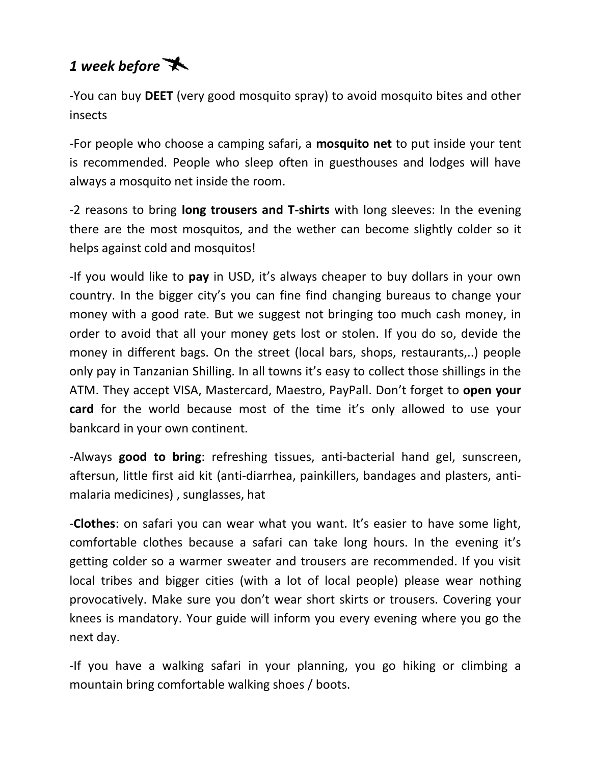## *1 week before*

-You can buy **DEET** (very good mosquito spray) to avoid mosquito bites and other insects

-For people who choose a camping safari, a **mosquito net** to put inside your tent is recommended. People who sleep often in guesthouses and lodges will have always a mosquito net inside the room.

-2 reasons to bring **long trousers and T-shirts** with long sleeves: In the evening there are the most mosquitos, and the wether can become slightly colder so it helps against cold and mosquitos!

-If you would like to **pay** in USD, it's always cheaper to buy dollars in your own country. In the bigger city's you can fine find changing bureaus to change your money with a good rate. But we suggest not bringing too much cash money, in order to avoid that all your money gets lost or stolen. If you do so, devide the money in different bags. On the street (local bars, shops, restaurants,..) people only pay in Tanzanian Shilling. In all towns it's easy to collect those shillings in the ATM. They accept VISA, Mastercard, Maestro, PayPall. Don't forget to **open your card** for the world because most of the time it's only allowed to use your bankcard in your own continent.

-Always **good to bring**: refreshing tissues, anti-bacterial hand gel, sunscreen, aftersun, little first aid kit (anti-diarrhea, painkillers, bandages and plasters, antimalaria medicines) , sunglasses, hat

-**Clothes**: on safari you can wear what you want. It's easier to have some light, comfortable clothes because a safari can take long hours. In the evening it's getting colder so a warmer sweater and trousers are recommended. If you visit local tribes and bigger cities (with a lot of local people) please wear nothing provocatively. Make sure you don't wear short skirts or trousers. Covering your knees is mandatory. Your guide will inform you every evening where you go the next day.

-If you have a walking safari in your planning, you go hiking or climbing a mountain bring comfortable walking shoes / boots.